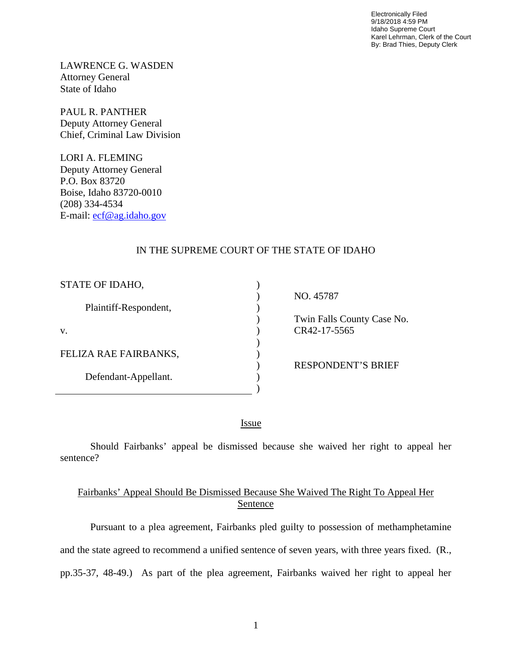Electronically Filed 9/18/2018 4:59 PM Idaho Supreme Court Karel Lehrman, Clerk of the Court By: Brad Thies, Deputy Clerk

LAWRENCE G. WASDEN Attorney General State of Idaho

PAUL R. PANTHER Deputy Attorney General Chief, Criminal Law Division

LORI A. FLEMING Deputy Attorney General P.O. Box 83720 Boise, Idaho 83720-0010 (208) 334-4534 E-mail: [ecf@ag.idaho.gov](mailto:ecf@ag.idaho.gov) 

 $\overline{a}$ 

## IN THE SUPREME COURT OF THE STATE OF IDAHO

| STATE OF IDAHO,       |                            |
|-----------------------|----------------------------|
|                       | NO. 45787                  |
| Plaintiff-Respondent, |                            |
|                       | Twin Falls County Case No. |
| V.                    | CR42-17-5565               |
|                       |                            |
| FELIZA RAE FAIRBANKS, |                            |
|                       | <b>RESPONDENT'S BRIEF</b>  |
| Defendant-Appellant.  |                            |
|                       |                            |

<u>Issue</u>

Should Fairbanks' appeal be dismissed because she waived her right to appeal her sentence?

## Fairbanks' Appeal Should Be Dismissed Because She Waived The Right To Appeal Her Sentence

Pursuant to a plea agreement, Fairbanks pled guilty to possession of methamphetamine and the state agreed to recommend a unified sentence of seven years, with three years fixed. (R., pp.35-37, 48-49.) As part of the plea agreement, Fairbanks waived her right to appeal her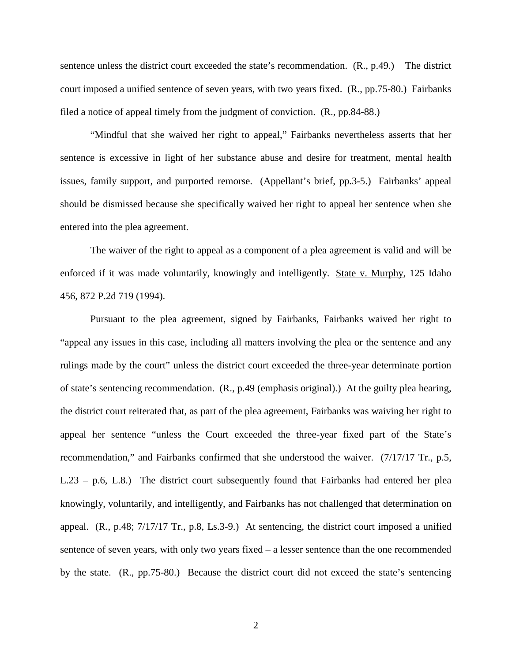sentence unless the district court exceeded the state's recommendation. (R., p.49.) The district court imposed a unified sentence of seven years, with two years fixed. (R., pp.75-80.) Fairbanks filed a notice of appeal timely from the judgment of conviction. (R., pp.84-88.)

"Mindful that she waived her right to appeal," Fairbanks nevertheless asserts that her sentence is excessive in light of her substance abuse and desire for treatment, mental health issues, family support, and purported remorse. (Appellant's brief, pp.3-5.) Fairbanks' appeal should be dismissed because she specifically waived her right to appeal her sentence when she entered into the plea agreement.

The waiver of the right to appeal as a component of a plea agreement is valid and will be enforced if it was made voluntarily, knowingly and intelligently. State v. Murphy, 125 Idaho 456, 872 P.2d 719 (1994).

Pursuant to the plea agreement, signed by Fairbanks, Fairbanks waived her right to "appeal any issues in this case, including all matters involving the plea or the sentence and any rulings made by the court" unless the district court exceeded the three-year determinate portion of state's sentencing recommendation. (R., p.49 (emphasis original).) At the guilty plea hearing, the district court reiterated that, as part of the plea agreement, Fairbanks was waiving her right to appeal her sentence "unless the Court exceeded the three-year fixed part of the State's recommendation," and Fairbanks confirmed that she understood the waiver. (7/17/17 Tr., p.5, L.23 – p.6, L.8.) The district court subsequently found that Fairbanks had entered her plea knowingly, voluntarily, and intelligently, and Fairbanks has not challenged that determination on appeal. (R., p.48; 7/17/17 Tr., p.8, Ls.3-9.) At sentencing, the district court imposed a unified sentence of seven years, with only two years fixed – a lesser sentence than the one recommended by the state. (R., pp.75-80.) Because the district court did not exceed the state's sentencing